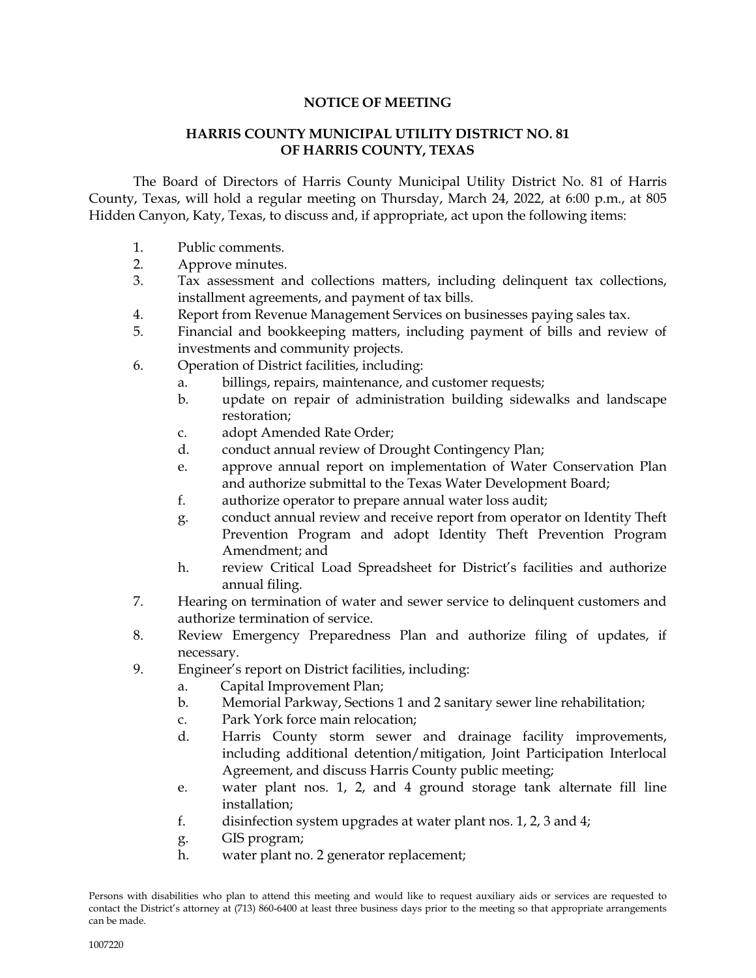## **NOTICE OF MEETING**

### **HARRIS COUNTY MUNICIPAL UTILITY DISTRICT NO. 81 OF HARRIS COUNTY, TEXAS**

The Board of Directors of Harris County Municipal Utility District No. 81 of Harris County, Texas, will hold a regular meeting on Thursday, March 24, 2022, at 6:00 p.m., at 805 Hidden Canyon, Katy, Texas, to discuss and, if appropriate, act upon the following items:

- 1. Public comments.
- 2. Approve minutes.
- 3. Tax assessment and collections matters, including delinquent tax collections, installment agreements, and payment of tax bills.
- 4. Report from Revenue Management Services on businesses paying sales tax.
- 5. Financial and bookkeeping matters, including payment of bills and review of investments and community projects.
- 6. Operation of District facilities, including:
	- a. billings, repairs, maintenance, and customer requests;
	- b. update on repair of administration building sidewalks and landscape restoration;
	- c. adopt Amended Rate Order;
	- d. conduct annual review of Drought Contingency Plan;
	- e. approve annual report on implementation of Water Conservation Plan and authorize submittal to the Texas Water Development Board;
	- f. authorize operator to prepare annual water loss audit;
	- g. conduct annual review and receive report from operator on Identity Theft Prevention Program and adopt Identity Theft Prevention Program Amendment; and
	- h. review Critical Load Spreadsheet for District's facilities and authorize annual filing.
- 7. Hearing on termination of water and sewer service to delinquent customers and authorize termination of service.
- 8. Review Emergency Preparedness Plan and authorize filing of updates, if necessary.
- 9. Engineer's report on District facilities, including:
	- a. Capital Improvement Plan;
	- b. Memorial Parkway, Sections 1 and 2 sanitary sewer line rehabilitation;
	- c. Park York force main relocation;
	- d. Harris County storm sewer and drainage facility improvements, including additional detention/mitigation, Joint Participation Interlocal Agreement, and discuss Harris County public meeting;
	- e. water plant nos. 1, 2, and 4 ground storage tank alternate fill line installation;
	- f. disinfection system upgrades at water plant nos. 1, 2, 3 and 4;
	- g. GIS program;
	- h. water plant no. 2 generator replacement;

Persons with disabilities who plan to attend this meeting and would like to request auxiliary aids or services are requested to contact the District's attorney at (713) 860-6400 at least three business days prior to the meeting so that appropriate arrangements can be made.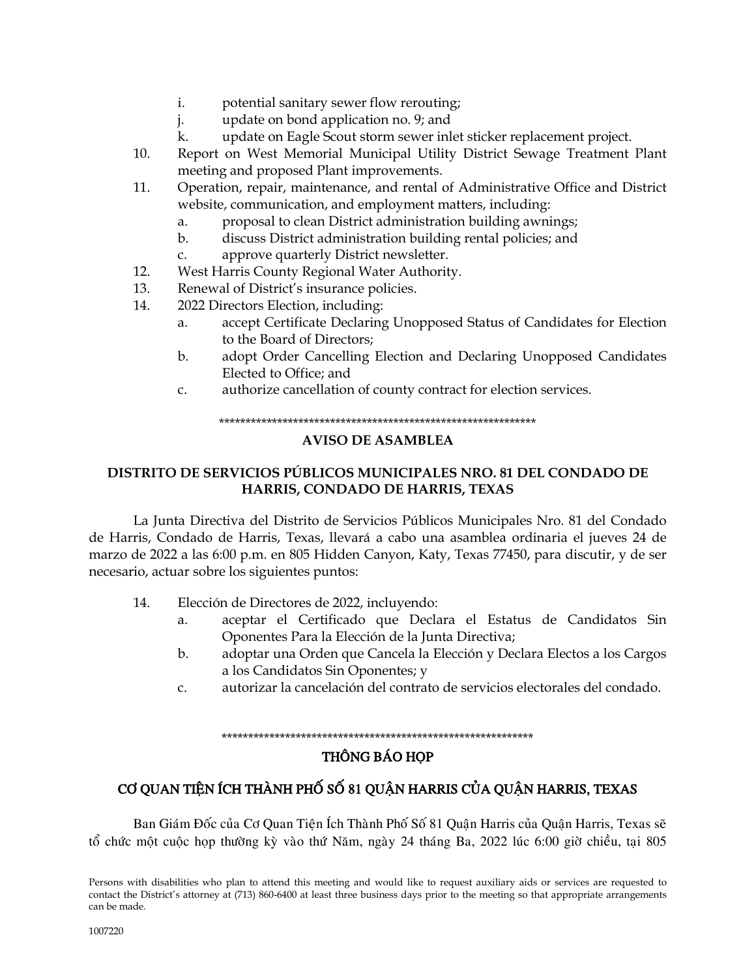- potential sanitary sewer flow rerouting; i.
- j. update on bond application no. 9; and
- $\mathbf{k}$ . update on Eagle Scout storm sewer inlet sticker replacement project.
- $10.$ Report on West Memorial Municipal Utility District Sewage Treatment Plant meeting and proposed Plant improvements.
- $11<sub>1</sub>$ Operation, repair, maintenance, and rental of Administrative Office and District website, communication, and employment matters, including:
	- a. proposal to clean District administration building awnings;
	- $b.$ discuss District administration building rental policies; and
	- approve quarterly District newsletter.  $C<sub>1</sub>$
- $12.$ West Harris County Regional Water Authority.
- 13. Renewal of District's insurance policies.
- 14. 2022 Directors Election, including:
	- accept Certificate Declaring Unopposed Status of Candidates for Election a. to the Board of Directors;
	- adopt Order Cancelling Election and Declaring Unopposed Candidates  $h$ Elected to Office; and
	- authorize cancellation of county contract for election services.  $C<sub>1</sub>$

#### 

#### **AVISO DE ASAMBLEA**

## DISTRITO DE SERVICIOS PÚBLICOS MUNICIPALES NRO. 81 DEL CONDADO DE HARRIS, CONDADO DE HARRIS, TEXAS

La Junta Directiva del Distrito de Servicios Públicos Municipales Nro. 81 del Condado de Harris, Condado de Harris, Texas, llevará a cabo una asamblea ordinaria el jueves 24 de marzo de 2022 a las 6:00 p.m. en 805 Hidden Canyon, Katy, Texas 77450, para discutir, y de ser necesario, actuar sobre los siguientes puntos:

- $14.$ Elección de Directores de 2022, incluyendo:
	- $a<sub>z</sub>$ aceptar el Certificado que Declara el Estatus de Candidatos Sin Oponentes Para la Elección de la Junta Directiva;
	- adoptar una Orden que Cancela la Elección y Declara Electos a los Cargos  $b.$ a los Candidatos Sin Oponentes; y
	- autorizar la cancelación del contrato de servicios electorales del condado.  $C<sub>1</sub>$

#### 

## **THÔNG BÁO HỌP**

# CƠ QUAN TIÊN ÍCH THÀNH PHỐ SỐ 81 QUÂN HARRIS CỦA QUÂN HARRIS, TEXAS

Ban Giám Đốc của Cơ Quan Tiên Ích Thành Phố Số 81 Quận Harris của Quận Harris, Texas sẽ tổ chức một cuộc họp thường kỳ vào thứ Năm, ngày 24 tháng Ba, 2022 lúc 6:00 giờ chiều, tại 805

Persons with disabilities who plan to attend this meeting and would like to request auxiliary aids or services are requested to contact the District's attorney at (713) 860-6400 at least three business days prior to the meeting so that appropriate arrangements can be made.